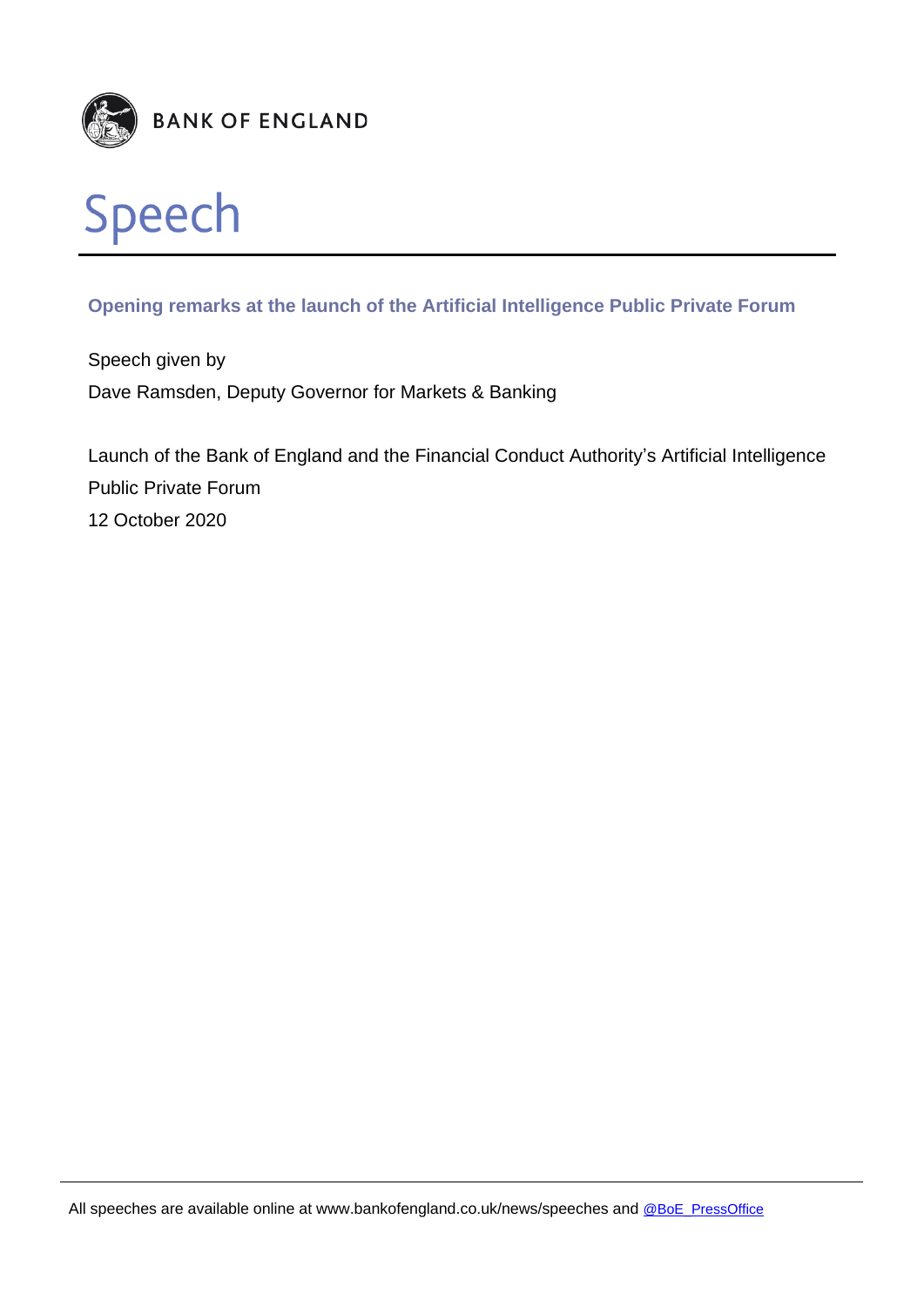

## **Opening remarks at the launch of the Artificial Intelligence Public Private Forum**

Speech given by Dave Ramsden, Deputy Governor for Markets & Banking

Launch of the Bank of England and the Financial Conduct Authority's Artificial Intelligence Public Private Forum 12 October 2020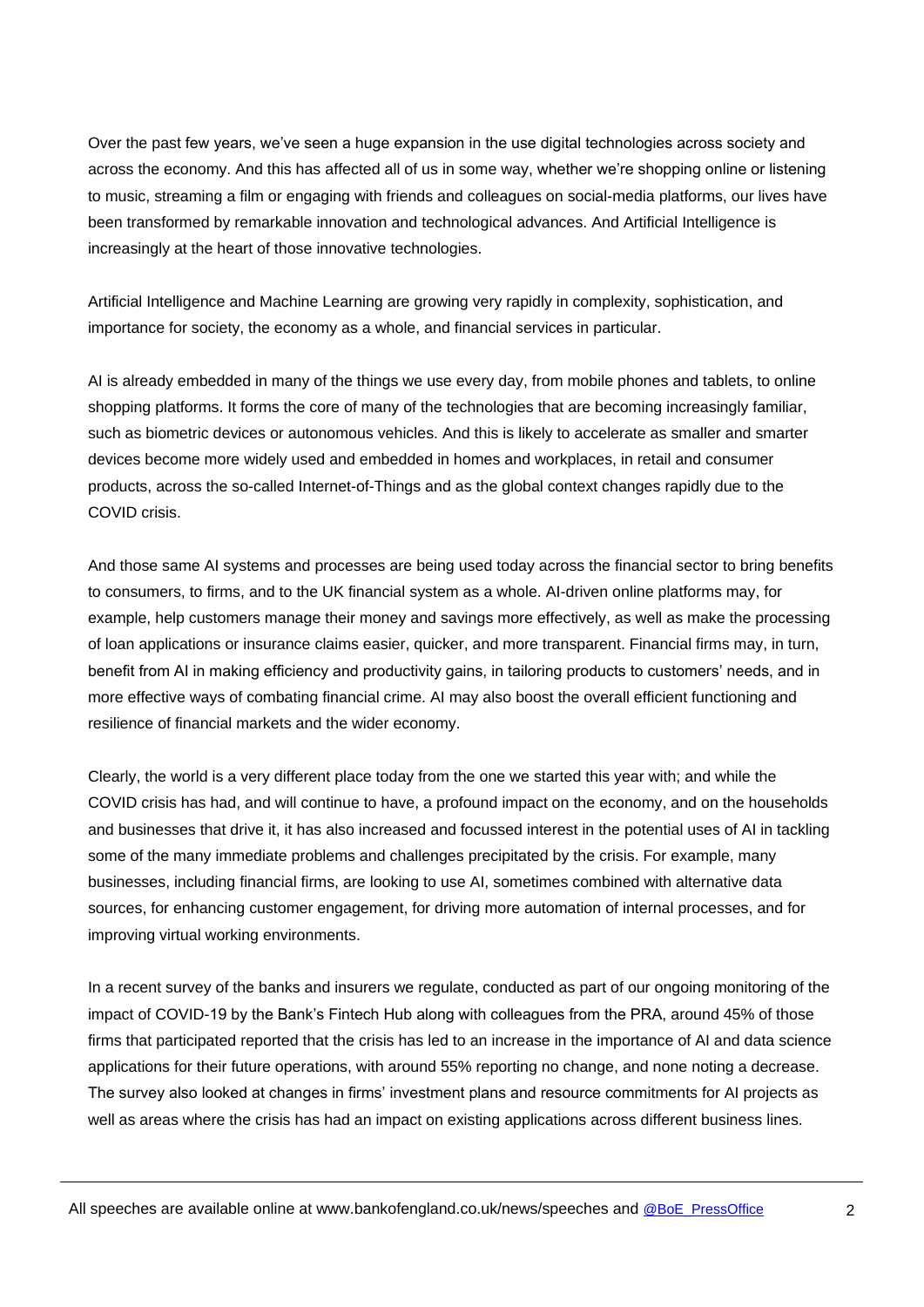Over the past few years, we've seen a huge expansion in the use digital technologies across society and across the economy. And this has affected all of us in some way, whether we're shopping online or listening to music, streaming a film or engaging with friends and colleagues on social-media platforms, our lives have been transformed by remarkable innovation and technological advances. And Artificial Intelligence is increasingly at the heart of those innovative technologies.

Artificial Intelligence and Machine Learning are growing very rapidly in complexity, sophistication, and importance for society, the economy as a whole, and financial services in particular.

AI is already embedded in many of the things we use every day, from mobile phones and tablets, to online shopping platforms. It forms the core of many of the technologies that are becoming increasingly familiar, such as biometric devices or autonomous vehicles. And this is likely to accelerate as smaller and smarter devices become more widely used and embedded in homes and workplaces, in retail and consumer products, across the so-called Internet-of-Things and as the global context changes rapidly due to the COVID crisis.

And those same AI systems and processes are being used today across the financial sector to bring benefits to consumers, to firms, and to the UK financial system as a whole. AI-driven online platforms may, for example, help customers manage their money and savings more effectively, as well as make the processing of loan applications or insurance claims easier, quicker, and more transparent. Financial firms may, in turn, benefit from AI in making efficiency and productivity gains, in tailoring products to customers' needs, and in more effective ways of combating financial crime. AI may also boost the overall efficient functioning and resilience of financial markets and the wider economy.

Clearly, the world is a very different place today from the one we started this year with; and while the COVID crisis has had, and will continue to have, a profound impact on the economy, and on the households and businesses that drive it, it has also increased and focussed interest in the potential uses of AI in tackling some of the many immediate problems and challenges precipitated by the crisis. For example, many businesses, including financial firms, are looking to use AI, sometimes combined with alternative data sources, for enhancing customer engagement, for driving more automation of internal processes, and for improving virtual working environments.

In a recent survey of the banks and insurers we regulate, conducted as part of our ongoing monitoring of the impact of COVID-19 by the Bank's Fintech Hub along with colleagues from the PRA, around 45% of those firms that participated reported that the crisis has led to an increase in the importance of AI and data science applications for their future operations, with around 55% reporting no change, and none noting a decrease. The survey also looked at changes in firms' investment plans and resource commitments for AI projects as well as areas where the crisis has had an impact on existing applications across different business lines.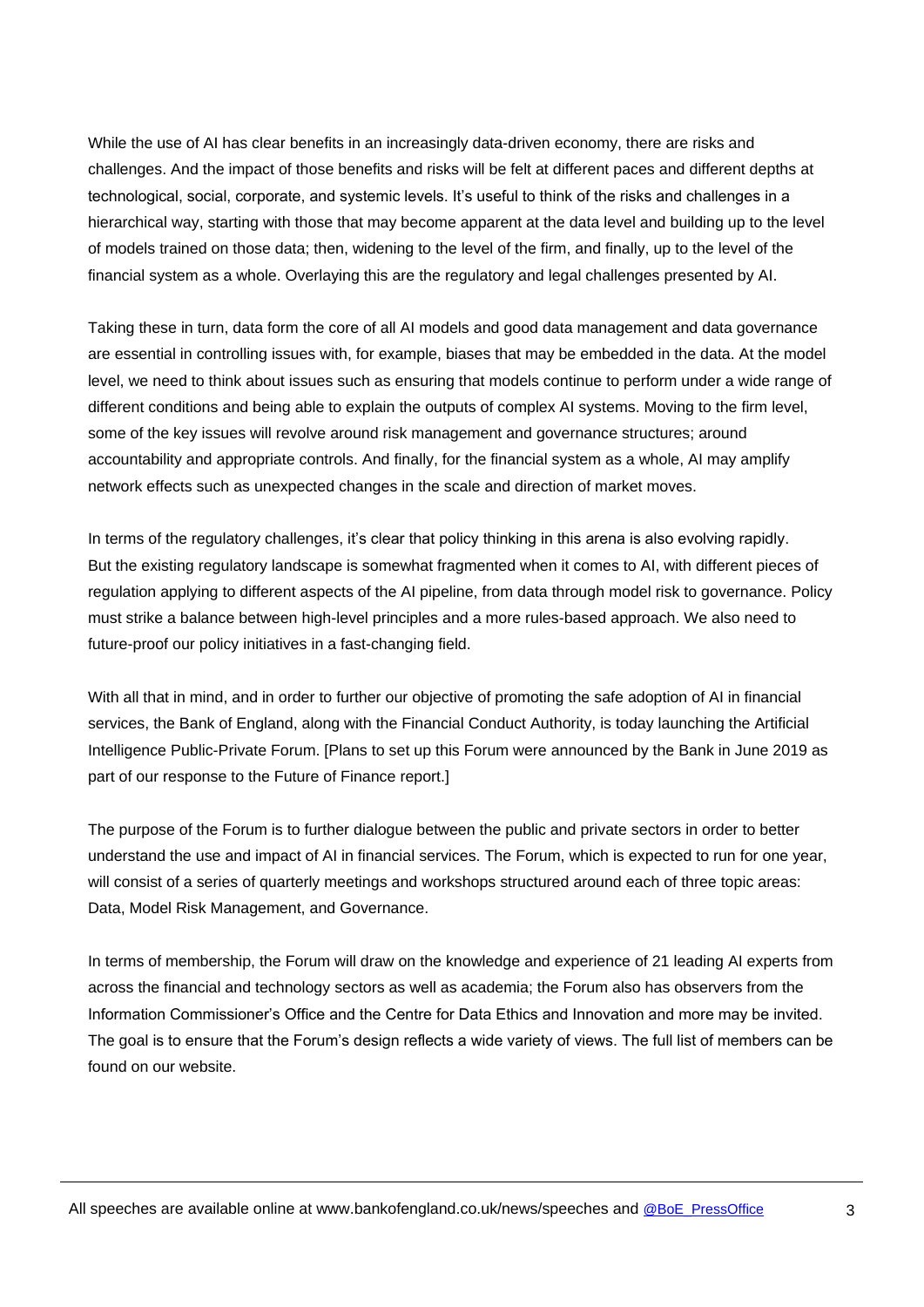While the use of AI has clear benefits in an increasingly data-driven economy, there are risks and challenges. And the impact of those benefits and risks will be felt at different paces and different depths at technological, social, corporate, and systemic levels. It's useful to think of the risks and challenges in a hierarchical way, starting with those that may become apparent at the data level and building up to the level of models trained on those data; then, widening to the level of the firm, and finally, up to the level of the financial system as a whole. Overlaying this are the regulatory and legal challenges presented by AI.

Taking these in turn, data form the core of all AI models and good data management and data governance are essential in controlling issues with, for example, biases that may be embedded in the data. At the model level, we need to think about issues such as ensuring that models continue to perform under a wide range of different conditions and being able to explain the outputs of complex AI systems. Moving to the firm level, some of the key issues will revolve around risk management and governance structures; around accountability and appropriate controls. And finally, for the financial system as a whole, AI may amplify network effects such as unexpected changes in the scale and direction of market moves.

In terms of the regulatory challenges, it's clear that policy thinking in this arena is also evolving rapidly. But the existing regulatory landscape is somewhat fragmented when it comes to AI, with different pieces of regulation applying to different aspects of the AI pipeline, from data through model risk to governance. Policy must strike a balance between high-level principles and a more rules-based approach. We also need to future-proof our policy initiatives in a fast-changing field.

With all that in mind, and in order to further our objective of promoting the safe adoption of AI in financial services, the Bank of England, along with the Financial Conduct Authority, is today launching the Artificial Intelligence Public-Private Forum. [Plans to set up this Forum were announced by the Bank in June 2019 as part of our response to the Future of Finance report.]

The purpose of the Forum is to further dialogue between the public and private sectors in order to better understand the use and impact of AI in financial services. The Forum, which is expected to run for one year, will consist of a series of quarterly meetings and workshops structured around each of three topic areas: Data, Model Risk Management, and Governance.

In terms of membership, the Forum will draw on the knowledge and experience of 21 leading AI experts from across the financial and technology sectors as well as academia; the Forum also has observers from the Information Commissioner's Office and the Centre for Data Ethics and Innovation and more may be invited. The goal is to ensure that the Forum's design reflects a wide variety of views. The full list of members can be found on our website.